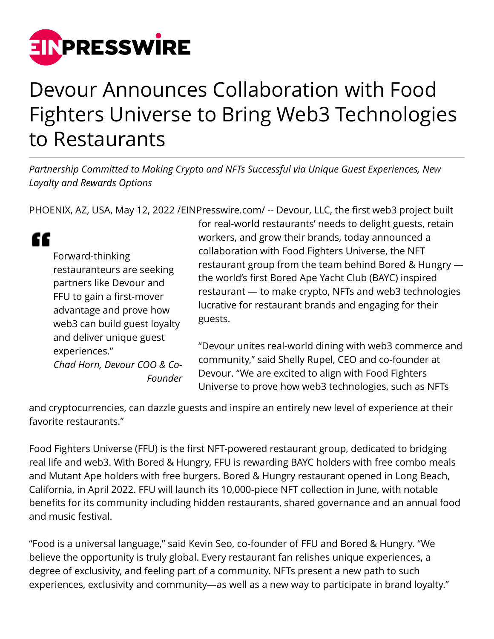

## Devour Announces Collaboration with Food Fighters Universe to Bring Web3 Technologies to Restaurants

*Partnership Committed to Making Crypto and NFTs Successful via Unique Guest Experiences, New Loyalty and Rewards Options*

PHOENIX, AZ, USA, May 12, 2022 [/EINPresswire.com](http://www.einpresswire.com)/ -- Devour, LLC, the first web3 project built

" Forward-thinking restauranteurs are seeking partners like Devour and FFU to gain a first-mover advantage and prove how web3 can build guest loyalty and deliver unique guest experiences." *Chad Horn, Devour COO & Co-Founder* for real-world restaurants' needs to delight guests, retain workers, and grow their brands, today announced a collaboration with Food Fighters Universe, the NFT restaurant group from the team behind Bored & Hungry the world's first Bored Ape Yacht Club (BAYC) inspired restaurant — to make crypto, NFTs and web3 technologies lucrative for restaurant brands and engaging for their guests.

"Devour unites real-world dining with web3 commerce and community," said Shelly Rupel, CEO and co-founder at Devour. "We are excited to align with Food Fighters Universe to prove how web3 technologies, such as NFTs

and cryptocurrencies, can dazzle guests and inspire an entirely new level of experience at their favorite restaurants."

Food Fighters Universe (FFU) is the first NFT-powered restaurant group, dedicated to bridging real life and web3. With Bored & Hungry, FFU is rewarding BAYC holders with free combo meals and Mutant Ape holders with free burgers. Bored & Hungry restaurant opened in Long Beach, California, in April 2022. FFU will launch its 10,000-piece NFT collection in June, with notable benefits for its community including hidden restaurants, shared governance and an annual food and music festival.

"Food is a universal language," said Kevin Seo, co-founder of FFU and Bored & Hungry. "We believe the opportunity is truly global. Every restaurant fan relishes unique experiences, a degree of exclusivity, and feeling part of a community. NFTs present a new path to such experiences, exclusivity and community—as well as a new way to participate in brand loyalty."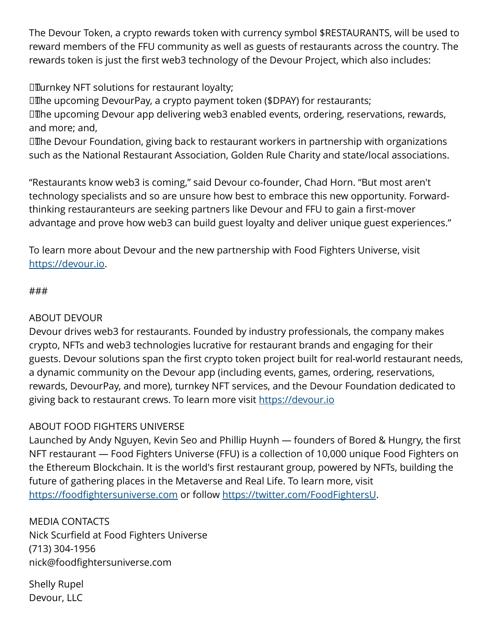The Devour Token, a crypto rewards token with currency symbol \$RESTAURANTS, will be used to reward members of the FFU community as well as guests of restaurants across the country. The rewards token is just the first web3 technology of the Devour Project, which also includes:

**IIIurnkey NFT solutions for restaurant loyalty;** 

**III**he upcoming DevourPay, a crypto payment token (\$DPAY) for restaurants;

**The upcoming Devour app delivering web3 enabled events, ordering, reservations, rewards,** and more; and,

**III**he Devour Foundation, giving back to restaurant workers in partnership with organizations such as the National Restaurant Association, Golden Rule Charity and state/local associations.

"Restaurants know web3 is coming," said Devour co-founder, Chad Horn. "But most aren't technology specialists and so are unsure how best to embrace this new opportunity. Forwardthinking restauranteurs are seeking partners like Devour and FFU to gain a first-mover advantage and prove how web3 can build guest loyalty and deliver unique guest experiences."

To learn more about Devour and the new partnership with Food Fighters Universe, visit [https://devour.io.](https://devour.io)

## ###

## ABOUT DEVOUR

Devour drives web3 for restaurants. Founded by industry professionals, the company makes crypto, NFTs and web3 technologies lucrative for restaurant brands and engaging for their guests. Devour solutions span the first crypto token project built for real-world restaurant needs, a dynamic community on the Devour app (including events, games, ordering, reservations, rewards, DevourPay, and more), turnkey NFT services, and the Devour Foundation dedicated to giving back to restaurant crews. To learn more visit <https://devour.io>

## ABOUT FOOD FIGHTERS UNIVERSE

Launched by Andy Nguyen, Kevin Seo and Phillip Huynh — founders of Bored & Hungry, the first NFT restaurant — Food Fighters Universe (FFU) is a collection of 10,000 unique Food Fighters on the Ethereum Blockchain. It is the world's first restaurant group, powered by NFTs, building the future of gathering places in the Metaverse and Real Life. To learn more, visit <https://foodfightersuniverse.com>or follow <https://twitter.com/FoodFightersU>.

MEDIA CONTACTS Nick Scurfield at Food Fighters Universe (713) 304-1956 nick@foodfightersuniverse.com

Shelly Rupel Devour, LLC